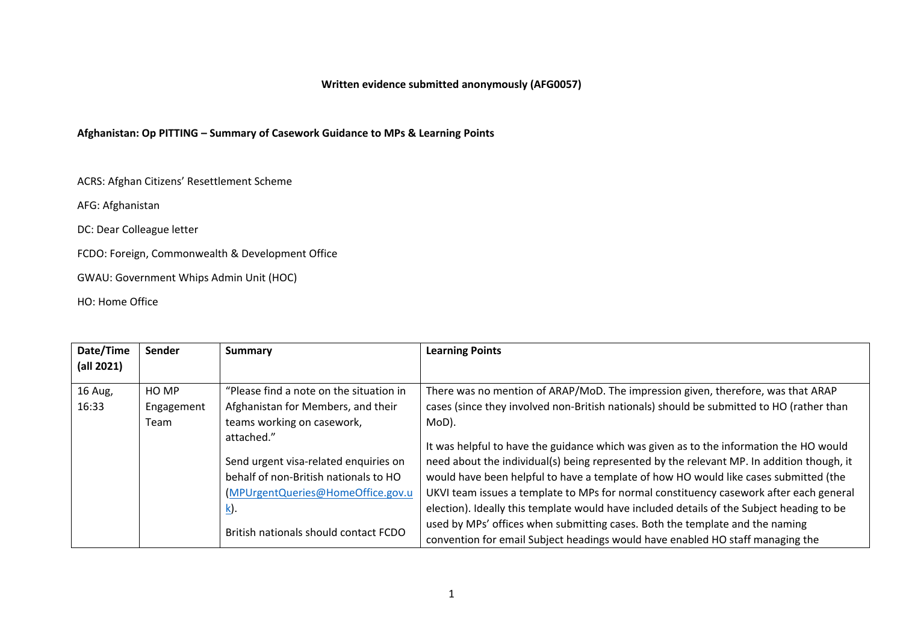## **Afghanistan: Op PITTING – Summary of Casework Guidance to MPs & Learning Points**

ACRS: Afghan Citizens' Resettlement Scheme

AFG: Afghanistan

DC: Dear Colleague letter

FCDO: Foreign, Commonwealth & Development Office

GWAU: Government Whips Admin Unit (HOC)

HO: Home Office

| Date/Time  | Sender     | Summary                                 | <b>Learning Points</b>                                                                    |
|------------|------------|-----------------------------------------|-------------------------------------------------------------------------------------------|
| (all 2021) |            |                                         |                                                                                           |
|            |            |                                         |                                                                                           |
| 16 Aug,    | HO MP      | "Please find a note on the situation in | There was no mention of ARAP/MoD. The impression given, therefore, was that ARAP          |
| 16:33      | Engagement | Afghanistan for Members, and their      | cases (since they involved non-British nationals) should be submitted to HO (rather than  |
|            | Team       | teams working on casework,              | MoD).                                                                                     |
|            |            | attached."                              | It was helpful to have the guidance which was given as to the information the HO would    |
|            |            | Send urgent visa-related enquiries on   | need about the individual(s) being represented by the relevant MP. In addition though, it |
|            |            | behalf of non-British nationals to HO   | would have been helpful to have a template of how HO would like cases submitted (the      |
|            |            | (MPUrgentQueries@HomeOffice.gov.u       | UKVI team issues a template to MPs for normal constituency casework after each general    |
|            |            | <u>k</u> ).                             | election). Ideally this template would have included details of the Subject heading to be |
|            |            |                                         | used by MPs' offices when submitting cases. Both the template and the naming              |
|            |            | British nationals should contact FCDO   | convention for email Subject headings would have enabled HO staff managing the            |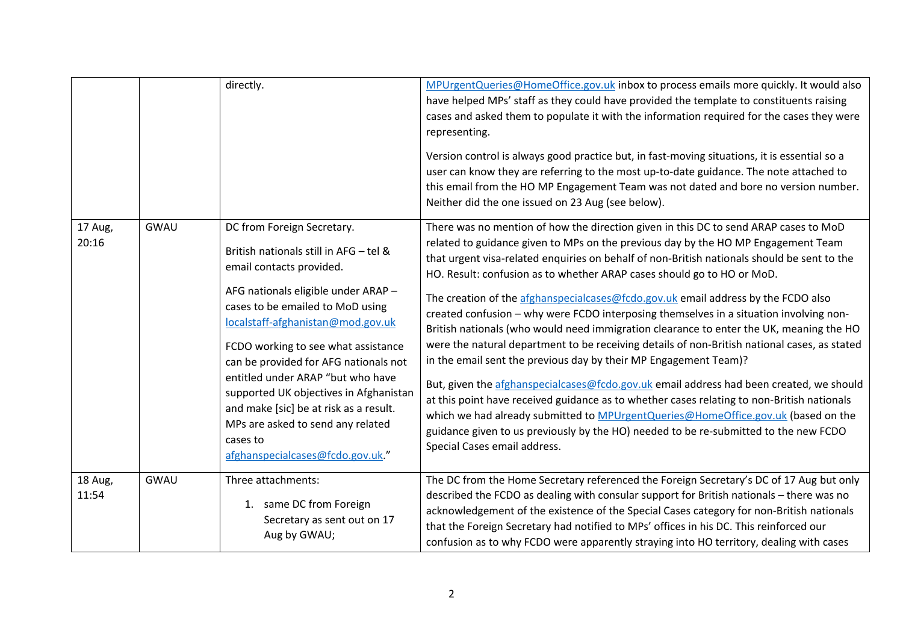|                  |      | directly.                                                                                                                                                                                                                                                                                                                                                                                                                                                                                                      | MPUrgentQueries@HomeOffice.gov.uk inbox to process emails more quickly. It would also<br>have helped MPs' staff as they could have provided the template to constituents raising<br>cases and asked them to populate it with the information required for the cases they were<br>representing.<br>Version control is always good practice but, in fast-moving situations, it is essential so a<br>user can know they are referring to the most up-to-date guidance. The note attached to<br>this email from the HO MP Engagement Team was not dated and bore no version number.<br>Neither did the one issued on 23 Aug (see below).                                                                                                                                                                                                                                                                                                                                                                                                                                                                                                                                                                   |
|------------------|------|----------------------------------------------------------------------------------------------------------------------------------------------------------------------------------------------------------------------------------------------------------------------------------------------------------------------------------------------------------------------------------------------------------------------------------------------------------------------------------------------------------------|--------------------------------------------------------------------------------------------------------------------------------------------------------------------------------------------------------------------------------------------------------------------------------------------------------------------------------------------------------------------------------------------------------------------------------------------------------------------------------------------------------------------------------------------------------------------------------------------------------------------------------------------------------------------------------------------------------------------------------------------------------------------------------------------------------------------------------------------------------------------------------------------------------------------------------------------------------------------------------------------------------------------------------------------------------------------------------------------------------------------------------------------------------------------------------------------------------|
| 17 Aug,<br>20:16 | GWAU | DC from Foreign Secretary.<br>British nationals still in AFG - tel &<br>email contacts provided.<br>AFG nationals eligible under ARAP -<br>cases to be emailed to MoD using<br>localstaff-afghanistan@mod.gov.uk<br>FCDO working to see what assistance<br>can be provided for AFG nationals not<br>entitled under ARAP "but who have<br>supported UK objectives in Afghanistan<br>and make [sic] be at risk as a result.<br>MPs are asked to send any related<br>cases to<br>afghanspecialcases@fcdo.gov.uk." | There was no mention of how the direction given in this DC to send ARAP cases to MoD<br>related to guidance given to MPs on the previous day by the HO MP Engagement Team<br>that urgent visa-related enquiries on behalf of non-British nationals should be sent to the<br>HO. Result: confusion as to whether ARAP cases should go to HO or MoD.<br>The creation of the afghanspecialcases@fcdo.gov.uk email address by the FCDO also<br>created confusion - why were FCDO interposing themselves in a situation involving non-<br>British nationals (who would need immigration clearance to enter the UK, meaning the HO<br>were the natural department to be receiving details of non-British national cases, as stated<br>in the email sent the previous day by their MP Engagement Team)?<br>But, given the afghanspecialcases@fcdo.gov.uk email address had been created, we should<br>at this point have received guidance as to whether cases relating to non-British nationals<br>which we had already submitted to MPUrgentQueries@HomeOffice.gov.uk (based on the<br>guidance given to us previously by the HO) needed to be re-submitted to the new FCDO<br>Special Cases email address. |
| 18 Aug,<br>11:54 | GWAU | Three attachments:<br>1. same DC from Foreign<br>Secretary as sent out on 17<br>Aug by GWAU;                                                                                                                                                                                                                                                                                                                                                                                                                   | The DC from the Home Secretary referenced the Foreign Secretary's DC of 17 Aug but only<br>described the FCDO as dealing with consular support for British nationals - there was no<br>acknowledgement of the existence of the Special Cases category for non-British nationals<br>that the Foreign Secretary had notified to MPs' offices in his DC. This reinforced our<br>confusion as to why FCDO were apparently straying into HO territory, dealing with cases                                                                                                                                                                                                                                                                                                                                                                                                                                                                                                                                                                                                                                                                                                                                   |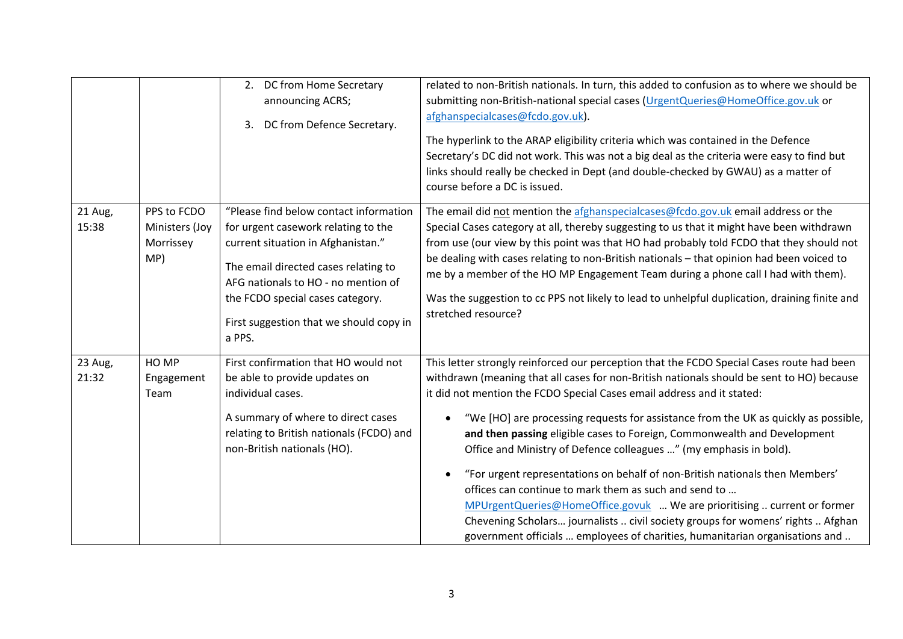|                  |                                                   | DC from Home Secretary<br>2.<br>announcing ACRS;<br>DC from Defence Secretary.<br>3.                                                                                                                                                                                                        | related to non-British nationals. In turn, this added to confusion as to where we should be<br>submitting non-British-national special cases (UrgentQueries@HomeOffice.gov.uk or<br>afghanspecialcases@fcdo.gov.uk).<br>The hyperlink to the ARAP eligibility criteria which was contained in the Defence<br>Secretary's DC did not work. This was not a big deal as the criteria were easy to find but<br>links should really be checked in Dept (and double-checked by GWAU) as a matter of<br>course before a DC is issued.                                                                                                                                                                                                                                                                                                                                                                    |
|------------------|---------------------------------------------------|---------------------------------------------------------------------------------------------------------------------------------------------------------------------------------------------------------------------------------------------------------------------------------------------|---------------------------------------------------------------------------------------------------------------------------------------------------------------------------------------------------------------------------------------------------------------------------------------------------------------------------------------------------------------------------------------------------------------------------------------------------------------------------------------------------------------------------------------------------------------------------------------------------------------------------------------------------------------------------------------------------------------------------------------------------------------------------------------------------------------------------------------------------------------------------------------------------|
| 21 Aug,<br>15:38 | PPS to FCDO<br>Ministers (Joy<br>Morrissey<br>MP) | "Please find below contact information<br>for urgent casework relating to the<br>current situation in Afghanistan."<br>The email directed cases relating to<br>AFG nationals to HO - no mention of<br>the FCDO special cases category.<br>First suggestion that we should copy in<br>a PPS. | The email did not mention the afghanspecialcases@fcdo.gov.uk email address or the<br>Special Cases category at all, thereby suggesting to us that it might have been withdrawn<br>from use (our view by this point was that HO had probably told FCDO that they should not<br>be dealing with cases relating to non-British nationals - that opinion had been voiced to<br>me by a member of the HO MP Engagement Team during a phone call I had with them).<br>Was the suggestion to cc PPS not likely to lead to unhelpful duplication, draining finite and<br>stretched resource?                                                                                                                                                                                                                                                                                                              |
| 23 Aug,<br>21:32 | HO MP<br>Engagement<br>Team                       | First confirmation that HO would not<br>be able to provide updates on<br>individual cases.<br>A summary of where to direct cases<br>relating to British nationals (FCDO) and<br>non-British nationals (HO).                                                                                 | This letter strongly reinforced our perception that the FCDO Special Cases route had been<br>withdrawn (meaning that all cases for non-British nationals should be sent to HO) because<br>it did not mention the FCDO Special Cases email address and it stated:<br>"We [HO] are processing requests for assistance from the UK as quickly as possible,<br>and then passing eligible cases to Foreign, Commonwealth and Development<br>Office and Ministry of Defence colleagues " (my emphasis in bold).<br>"For urgent representations on behalf of non-British nationals then Members'<br>offices can continue to mark them as such and send to<br>MPUrgentQueries@HomeOffice.govuk  We are prioritising  current or former<br>Chevening Scholars journalists  civil society groups for womens' rights  Afghan<br>government officials  employees of charities, humanitarian organisations and |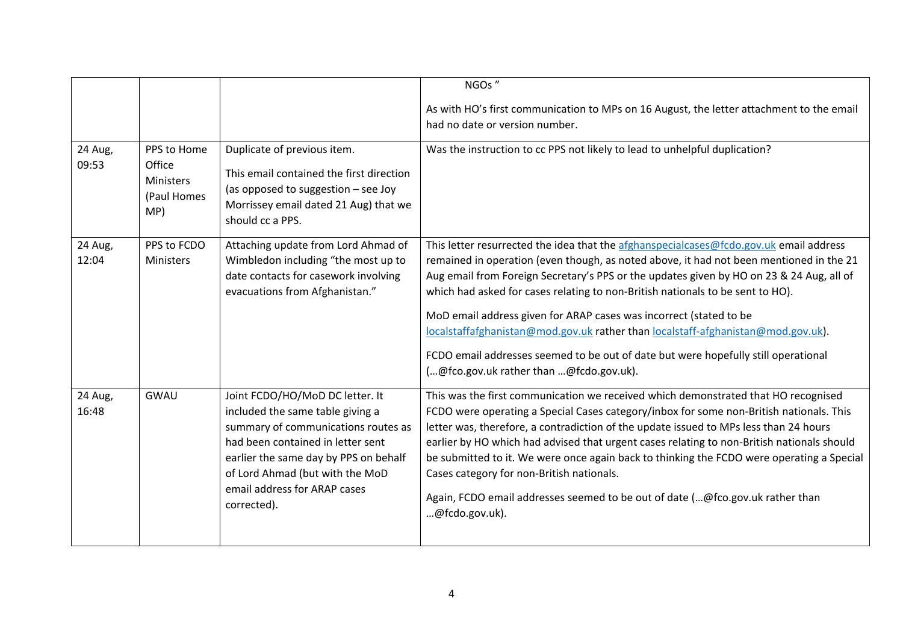|                  |                                                                 |                                                                                                                                                                                                                                                                            | NGOs"                                                                                                                                                                                                                                                                                                                                                                                                                                                                                                                                                                                                                                                      |
|------------------|-----------------------------------------------------------------|----------------------------------------------------------------------------------------------------------------------------------------------------------------------------------------------------------------------------------------------------------------------------|------------------------------------------------------------------------------------------------------------------------------------------------------------------------------------------------------------------------------------------------------------------------------------------------------------------------------------------------------------------------------------------------------------------------------------------------------------------------------------------------------------------------------------------------------------------------------------------------------------------------------------------------------------|
|                  |                                                                 |                                                                                                                                                                                                                                                                            | As with HO's first communication to MPs on 16 August, the letter attachment to the email                                                                                                                                                                                                                                                                                                                                                                                                                                                                                                                                                                   |
|                  |                                                                 |                                                                                                                                                                                                                                                                            | had no date or version number.                                                                                                                                                                                                                                                                                                                                                                                                                                                                                                                                                                                                                             |
| 24 Aug,<br>09:53 | PPS to Home<br>Office<br><b>Ministers</b><br>(Paul Homes<br>MP) | Duplicate of previous item.<br>This email contained the first direction<br>(as opposed to suggestion - see Joy<br>Morrissey email dated 21 Aug) that we<br>should cc a PPS.                                                                                                | Was the instruction to cc PPS not likely to lead to unhelpful duplication?                                                                                                                                                                                                                                                                                                                                                                                                                                                                                                                                                                                 |
| 24 Aug,<br>12:04 | PPS to FCDO<br>Ministers                                        | Attaching update from Lord Ahmad of<br>Wimbledon including "the most up to<br>date contacts for casework involving<br>evacuations from Afghanistan."                                                                                                                       | This letter resurrected the idea that the afghanspecialcases@fcdo.gov.uk email address<br>remained in operation (even though, as noted above, it had not been mentioned in the 21<br>Aug email from Foreign Secretary's PPS or the updates given by HO on 23 & 24 Aug, all of<br>which had asked for cases relating to non-British nationals to be sent to HO).<br>MoD email address given for ARAP cases was incorrect (stated to be<br>localstaffafghanistan@mod.gov.uk rather than localstaff-afghanistan@mod.gov.uk).<br>FCDO email addresses seemed to be out of date but were hopefully still operational<br>(@fco.gov.uk rather than @fcdo.gov.uk). |
| 24 Aug,<br>16:48 | GWAU                                                            | Joint FCDO/HO/MoD DC letter. It<br>included the same table giving a<br>summary of communications routes as<br>had been contained in letter sent<br>earlier the same day by PPS on behalf<br>of Lord Ahmad (but with the MoD<br>email address for ARAP cases<br>corrected). | This was the first communication we received which demonstrated that HO recognised<br>FCDO were operating a Special Cases category/inbox for some non-British nationals. This<br>letter was, therefore, a contradiction of the update issued to MPs less than 24 hours<br>earlier by HO which had advised that urgent cases relating to non-British nationals should<br>be submitted to it. We were once again back to thinking the FCDO were operating a Special<br>Cases category for non-British nationals.<br>Again, FCDO email addresses seemed to be out of date (@fco.gov.uk rather than<br>@fcdo.gov.uk).                                          |